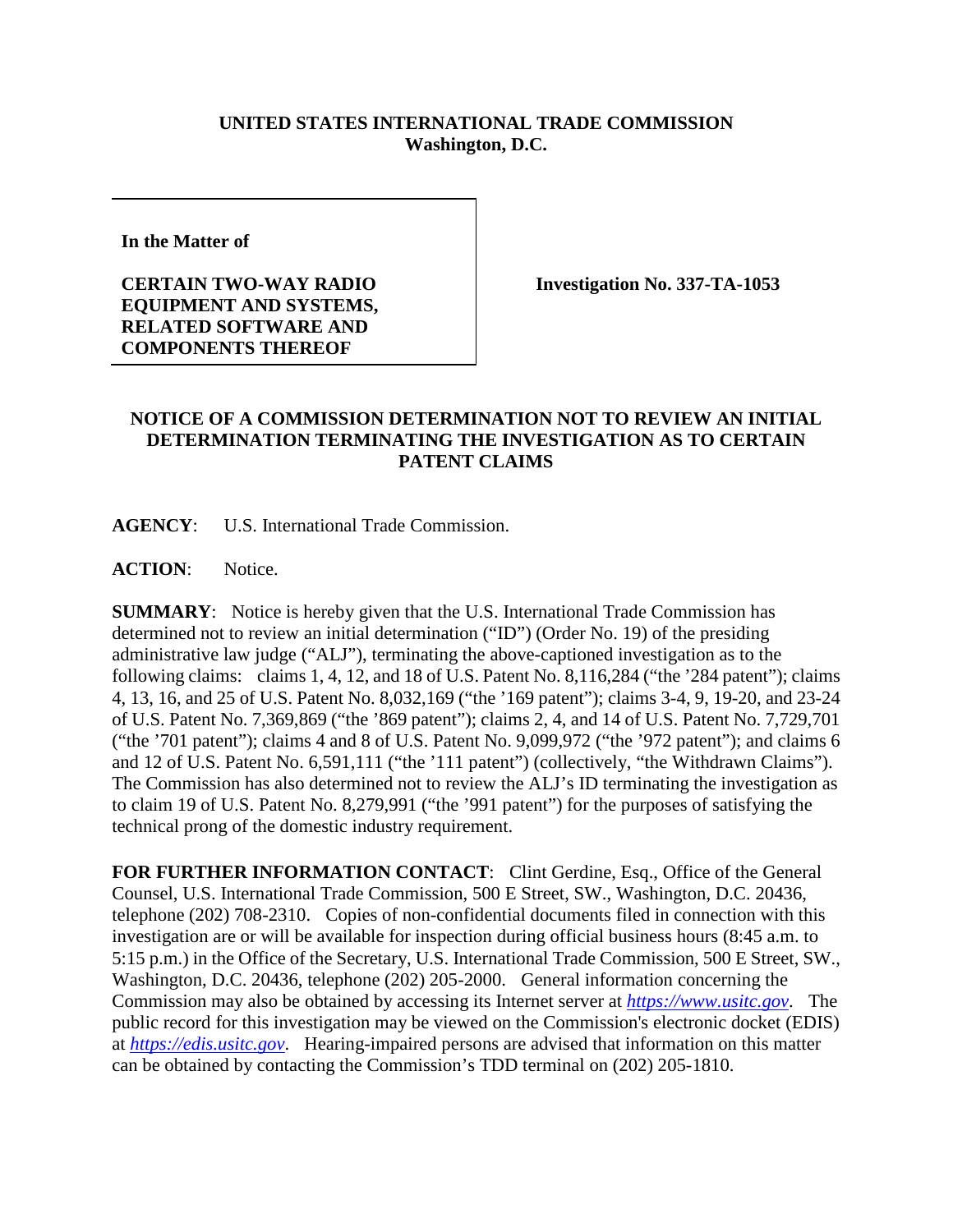## **UNITED STATES INTERNATIONAL TRADE COMMISSION Washington, D.C.**

**In the Matter of** 

**CERTAIN TWO-WAY RADIO EQUIPMENT AND SYSTEMS, RELATED SOFTWARE AND COMPONENTS THEREOF**

**Investigation No. 337-TA-1053**

## **NOTICE OF A COMMISSION DETERMINATION NOT TO REVIEW AN INITIAL DETERMINATION TERMINATING THE INVESTIGATION AS TO CERTAIN PATENT CLAIMS**

**AGENCY**: U.S. International Trade Commission.

**ACTION**: Notice.

**SUMMARY**: Notice is hereby given that the U.S. International Trade Commission has determined not to review an initial determination ("ID") (Order No. 19) of the presiding administrative law judge ("ALJ"), terminating the above-captioned investigation as to the following claims: claims 1, 4, 12, and 18 of U.S. Patent No. 8,116,284 ("the '284 patent"); claims 4, 13, 16, and 25 of U.S. Patent No. 8,032,169 ("the '169 patent"); claims 3-4, 9, 19-20, and 23-24 of U.S. Patent No. 7,369,869 ("the '869 patent"); claims 2, 4, and 14 of U.S. Patent No. 7,729,701 ("the '701 patent"); claims 4 and 8 of U.S. Patent No. 9,099,972 ("the '972 patent"); and claims 6 and 12 of U.S. Patent No. 6,591,111 ("the '111 patent") (collectively, "the Withdrawn Claims"). The Commission has also determined not to review the ALJ's ID terminating the investigation as to claim 19 of U.S. Patent No. 8,279,991 ("the '991 patent") for the purposes of satisfying the technical prong of the domestic industry requirement.

FOR FURTHER INFORMATION CONTACT: Clint Gerdine, Esq., Office of the General Counsel, U.S. International Trade Commission, 500 E Street, SW., Washington, D.C. 20436, telephone (202) 708-2310. Copies of non-confidential documents filed in connection with this investigation are or will be available for inspection during official business hours (8:45 a.m. to 5:15 p.m.) in the Office of the Secretary, U.S. International Trade Commission, 500 E Street, SW., Washington, D.C. 20436, telephone (202) 205-2000. General information concerning the Commission may also be obtained by accessing its Internet server at *[https://www.usitc.gov](https://www.usitc.gov/)*. The public record for this investigation may be viewed on the Commission's electronic docket (EDIS) at *[https://edis.usitc.gov](https://edis.usitc.gov/)*. Hearing-impaired persons are advised that information on this matter can be obtained by contacting the Commission's TDD terminal on (202) 205-1810.